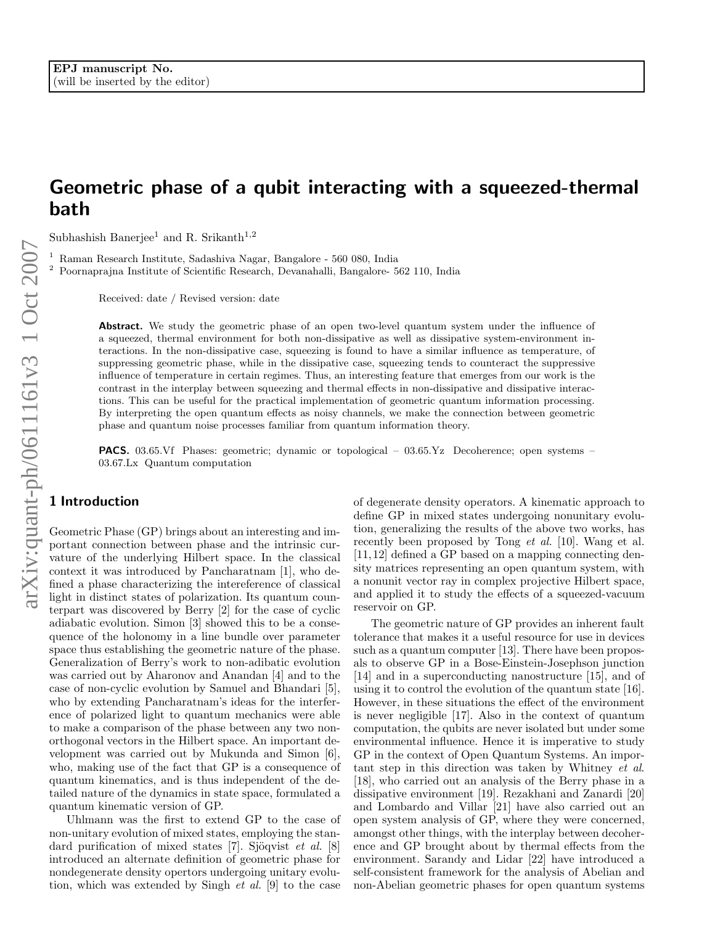# arXiv:quant-ph/0611161v3 1 Oct 2007 arXiv:quant-ph/0611161v3 1 Oct 2007

# Geometric phase of a qubit interacting with a squeezed-thermal bath

Subhashish Banerjee<sup>1</sup> and R. Srikanth<sup>1,2</sup>

 $^{\rm 1}$ Raman Research Institute, Sadashiva Nagar, Bangalore - 560 080, India  $^{\rm 2}$ Poornaprajna Institute of Scientific Research, Devanahalli, Bangalore- 562 110, India

Received: date / Revised version: date

Abstract. We study the geometric phase of an open two-level quantum system under the influence of a squeezed, thermal environment for both non-dissipative as well as dissipative system-environment interactions. In the non-dissipative case, squeezing is found to have a similar influence as temperature, of suppressing geometric phase, while in the dissipative case, squeezing tends to counteract the suppressive influence of temperature in certain regimes. Thus, an interesting feature that emerges from our work is the contrast in the interplay between squeezing and thermal effects in non-dissipative and dissipative interactions. This can be useful for the practical implementation of geometric quantum information processing. By interpreting the open quantum effects as noisy channels, we make the connection between geometric phase and quantum noise processes familiar from quantum information theory.

PACS. 03.65.Vf Phases: geometric; dynamic or topological – 03.65.Yz Decoherence; open systems – 03.67.Lx Quantum computation

## 1 Introduction

Geometric Phase (GP) brings about an interesting and important connection between phase and the intrinsic curvature of the underlying Hilbert space. In the classical context it was introduced by Pancharatnam [1], who defined a phase characterizing the intereference of classical light in distinct states of polarization. Its quantum counterpart was discovered by Berry [2] for the case of cyclic adiabatic evolution. Simon [3] showed this to be a consequence of the holonomy in a line bundle over parameter space thus establishing the geometric nature of the phase. Generalization of Berry's work to non-adibatic evolution was carried out by Aharonov and Anandan [4] and to the case of non-cyclic evolution by Samuel and Bhandari [5], who by extending Pancharatnam's ideas for the interference of polarized light to quantum mechanics were able to make a comparison of the phase between any two nonorthogonal vectors in the Hilbert space. An important development was carried out by Mukunda and Simon [6], who, making use of the fact that GP is a consequence of quantum kinematics, and is thus independent of the detailed nature of the dynamics in state space, formulated a quantum kinematic version of GP.

Uhlmann was the first to extend GP to the case of non-unitary evolution of mixed states, employing the standard purification of mixed states [7]. Sjöqvist et al.  $[8]$ introduced an alternate definition of geometric phase for nondegenerate density opertors undergoing unitary evolution, which was extended by Singh et al. [9] to the case

of degenerate density operators. A kinematic approach to define GP in mixed states undergoing nonunitary evolution, generalizing the results of the above two works, has recently been proposed by Tong et al. [10]. Wang et al. [11,12] defined a GP based on a mapping connecting density matrices representing an open quantum system, with a nonunit vector ray in complex projective Hilbert space, and applied it to study the effects of a squeezed-vacuum reservoir on GP.

The geometric nature of GP provides an inherent fault tolerance that makes it a useful resource for use in devices such as a quantum computer [13]. There have been proposals to observe GP in a Bose-Einstein-Josephson junction [14] and in a superconducting nanostructure [15], and of using it to control the evolution of the quantum state [16]. However, in these situations the effect of the environment is never negligible [17]. Also in the context of quantum computation, the qubits are never isolated but under some environmental influence. Hence it is imperative to study GP in the context of Open Quantum Systems. An important step in this direction was taken by Whitney et al. [18], who carried out an analysis of the Berry phase in a dissipative environment [19]. Rezakhani and Zanardi [20] and Lombardo and Villar [21] have also carried out an open system analysis of GP, where they were concerned, amongst other things, with the interplay between decoherence and GP brought about by thermal effects from the environment. Sarandy and Lidar [22] have introduced a self-consistent framework for the analysis of Abelian and non-Abelian geometric phases for open quantum systems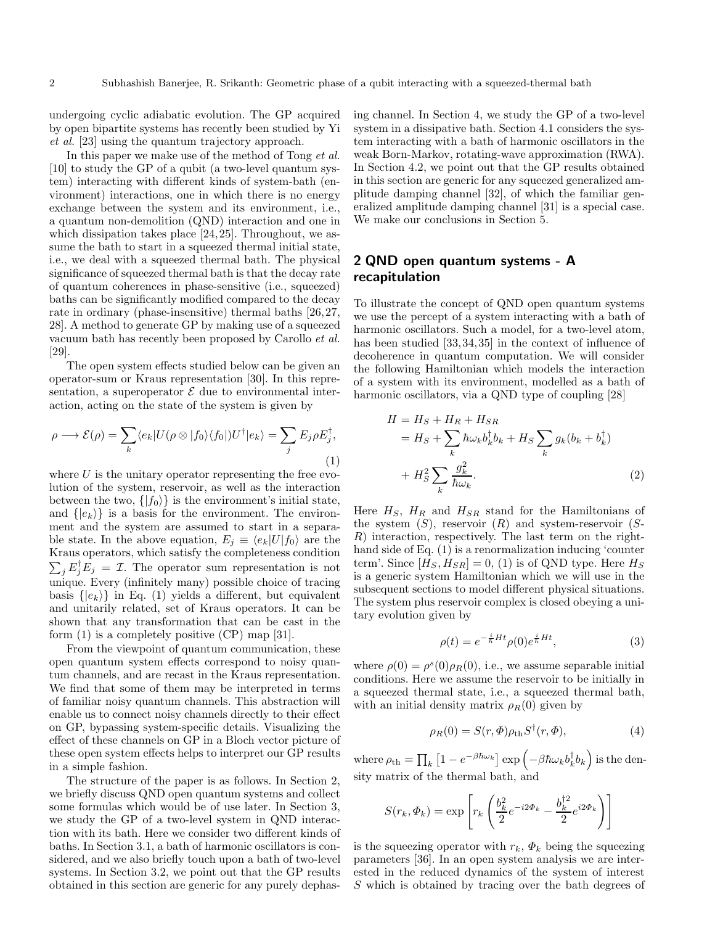undergoing cyclic adiabatic evolution. The GP acquired by open bipartite systems has recently been studied by Yi et al. [23] using the quantum trajectory approach.

In this paper we make use of the method of Tong et al. [10] to study the GP of a qubit (a two-level quantum system) interacting with different kinds of system-bath (environment) interactions, one in which there is no energy exchange between the system and its environment, i.e., a quantum non-demolition (QND) interaction and one in which dissipation takes place [24, 25]. Throughout, we assume the bath to start in a squeezed thermal initial state, i.e., we deal with a squeezed thermal bath. The physical significance of squeezed thermal bath is that the decay rate of quantum coherences in phase-sensitive (i.e., squeezed) baths can be significantly modified compared to the decay rate in ordinary (phase-insensitive) thermal baths [26,27, 28]. A method to generate GP by making use of a squeezed vacuum bath has recently been proposed by Carollo et al. [29].

The open system effects studied below can be given an operator-sum or Kraus representation [30]. In this representation, a superoperator  $\mathcal E$  due to environmental interaction, acting on the state of the system is given by

$$
\rho \longrightarrow \mathcal{E}(\rho) = \sum_{k} \langle e_k | U(\rho \otimes |f_0\rangle \langle f_0|) U^{\dagger} | e_k \rangle = \sum_{j} E_j \rho E_j^{\dagger}, \tag{1}
$$

where  $U$  is the unitary operator representing the free evolution of the system, reservoir, as well as the interaction between the two,  $\{|f_0\rangle\}$  is the environment's initial state, and  $\{|e_k\rangle\}$  is a basis for the environment. The environment and the system are assumed to start in a separable state. In the above equation,  $E_j \equiv \langle e_k|U|f_0 \rangle$  are the Kraus operators, which satisfy the completeness condition  $\sum_j E_j^{\dagger} E_j = \mathcal{I}$ . The operator sum representation is not unique. Every (infinitely many) possible choice of tracing basis  $\{|e_k\rangle\}$  in Eq. (1) yields a different, but equivalent and unitarily related, set of Kraus operators. It can be shown that any transformation that can be cast in the form  $(1)$  is a completely positive  $(CP)$  map  $[31]$ .

From the viewpoint of quantum communication, these open quantum system effects correspond to noisy quantum channels, and are recast in the Kraus representation. We find that some of them may be interpreted in terms of familiar noisy quantum channels. This abstraction will enable us to connect noisy channels directly to their effect on GP, bypassing system-specific details. Visualizing the effect of these channels on GP in a Bloch vector picture of these open system effects helps to interpret our GP results in a simple fashion.

The structure of the paper is as follows. In Section 2, we briefly discuss QND open quantum systems and collect some formulas which would be of use later. In Section 3, we study the GP of a two-level system in QND interaction with its bath. Here we consider two different kinds of baths. In Section 3.1, a bath of harmonic oscillators is considered, and we also briefly touch upon a bath of two-level systems. In Section 3.2, we point out that the GP results obtained in this section are generic for any purely dephasing channel. In Section 4, we study the GP of a two-level system in a dissipative bath. Section 4.1 considers the system interacting with a bath of harmonic oscillators in the weak Born-Markov, rotating-wave approximation (RWA). In Section 4.2, we point out that the GP results obtained in this section are generic for any squeezed generalized amplitude damping channel [32], of which the familiar generalized amplitude damping channel [31] is a special case. We make our conclusions in Section 5.

# 2 QND open quantum systems - A recapitulation

To illustrate the concept of QND open quantum systems we use the percept of a system interacting with a bath of harmonic oscillators. Such a model, for a two-level atom, has been studied [33,34,35] in the context of influence of decoherence in quantum computation. We will consider the following Hamiltonian which models the interaction of a system with its environment, modelled as a bath of harmonic oscillators, via a QND type of coupling [28]

$$
H = HS + HR + HSR
$$
  
= H<sub>S</sub> +  $\sum_{k}$   $\hbar \omega_k b_k^{\dagger} b_k + HS \sum_{k}$   $g_k(b_k + b_k^{\dagger})$   
+ H<sub>S</sub><sup>2</sup>  $\sum_{k}$   $\frac{g_k^2}{\hbar \omega_k}$ . (2)

Here  $H_S$ ,  $H_R$  and  $H_{SR}$  stand for the Hamiltonians of the system  $(S)$ , reservoir  $(R)$  and system-reservoir  $(S-$ R) interaction, respectively. The last term on the righthand side of Eq. (1) is a renormalization inducing 'counter term'. Since  $[H_S, H_{SR}] = 0$ , (1) is of QND type. Here  $H_S$ is a generic system Hamiltonian which we will use in the subsequent sections to model different physical situations. The system plus reservoir complex is closed obeying a unitary evolution given by

$$
\rho(t) = e^{-\frac{i}{\hbar}Ht} \rho(0)e^{\frac{i}{\hbar}Ht},\tag{3}
$$

where  $\rho(0) = \rho^{s}(0)\rho_R(0)$ , i.e., we assume separable initial conditions. Here we assume the reservoir to be initially in a squeezed thermal state, i.e., a squeezed thermal bath, with an initial density matrix  $\rho_R(0)$  given by

$$
\rho_R(0) = S(r, \Phi)\rho_{\text{th}}S^{\dagger}(r, \Phi), \tag{4}
$$

where  $\rho_{\rm th}=\prod_k\left[1-e^{-\beta\hbar\omega_k}\right]\exp\left(-\beta\hbar\omega_k b_k^\dagger b_k\right)$  is the density matrix of the thermal bath, and

$$
S(r_k, \Phi_k) = \exp\left[r_k \left(\frac{b_k^2}{2}e^{-i2\Phi_k} - \frac{b_k^{\dagger 2}}{2}e^{i2\Phi_k}\right)\right]
$$

is the squeezing operator with  $r_k$ ,  $\Phi_k$  being the squeezing parameters [36]. In an open system analysis we are interested in the reduced dynamics of the system of interest S which is obtained by tracing over the bath degrees of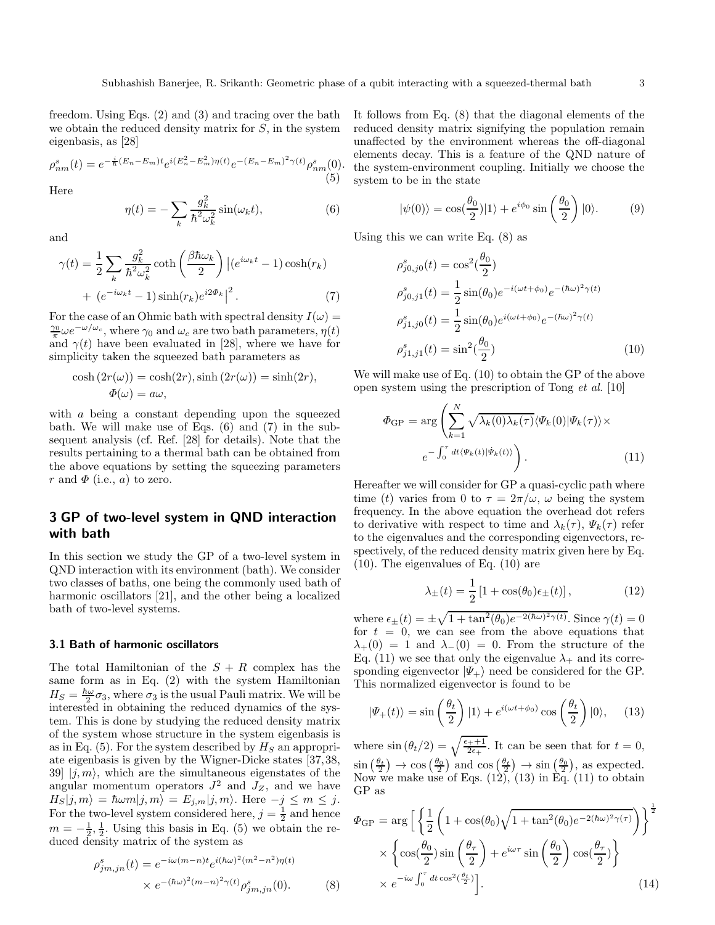freedom. Using Eqs. (2) and (3) and tracing over the bath we obtain the reduced density matrix for  $S$ , in the system eigenbasis, as [28]

$$
\rho_{nm}^s(t) = e^{-\frac{i}{\hbar}(E_n - E_m)t} e^{i(E_n^2 - E_m^2)\eta(t)} e^{-(E_n - E_m)^2 \gamma(t)} \rho_{nm}^s(0).
$$
\n(5)

Here

$$
\eta(t) = -\sum_{k} \frac{g_k^2}{\hbar^2 \omega_k^2} \sin(\omega_k t),\tag{6}
$$

and

$$
\gamma(t) = \frac{1}{2} \sum_{k} \frac{g_k^2}{\hbar^2 \omega_k^2} \coth\left(\frac{\beta \hbar \omega_k}{2}\right) \left| (e^{i\omega_k t} - 1) \cosh(r_k) \right|
$$

$$
+ (e^{-i\omega_k t} - 1) \sinh(r_k) e^{i2\Phi_k} \right|^2. \tag{7}
$$

For the case of an Ohmic bath with spectral density  $I(\omega) =$  $\frac{\gamma_0}{\pi} \omega e^{-\omega/\omega_c}$ , where  $\gamma_0$  and  $\omega_c$  are two bath parameters,  $\eta(t)$ and  $\gamma(t)$  have been evaluated in [28], where we have for simplicity taken the squeezed bath parameters as

$$
\cosh(2r(\omega)) = \cosh(2r), \sinh(2r(\omega)) = \sinh(2r),
$$
  

$$
\Phi(\omega) = a\omega,
$$

with a being a constant depending upon the squeezed bath. We will make use of Eqs. (6) and (7) in the subsequent analysis (cf. Ref. [28] for details). Note that the results pertaining to a thermal bath can be obtained from the above equations by setting the squeezing parameters r and  $\Phi$  (i.e., a) to zero.

# 3 GP of two-level system in QND interaction with bath

In this section we study the GP of a two-level system in QND interaction with its environment (bath). We consider two classes of baths, one being the commonly used bath of harmonic oscillators [21], and the other being a localized bath of two-level systems.

### 3.1 Bath of harmonic oscillators

The total Hamiltonian of the  $S + R$  complex has the same form as in Eq.  $(2)$  with the system Hamiltonian  $H_S = \frac{\hbar \omega}{2} \sigma_3$ , where  $\sigma_3$  is the usual Pauli matrix. We will be interested in obtaining the reduced dynamics of the system. This is done by studying the reduced density matrix of the system whose structure in the system eigenbasis is as in Eq. (5). For the system described by  $H<sub>S</sub>$  an appropriate eigenbasis is given by the Wigner-Dicke states [37,38, 39  $|i, m\rangle$ , which are the simultaneous eigenstates of the angular momentum operators  $J^2$  and  $J_Z$ , and we have  $H_S|j,m\rangle = \hbar\omega m|j,m\rangle = E_{j,m}|j,m\rangle.$  Here  $-j \leq m \leq j$ . For the two-level system considered here,  $j = \frac{1}{2}$  and hence  $m = -\frac{1}{2}, \frac{1}{2}$ . Using this basis in Eq. (5) we obtain the reduced density matrix of the system as

$$
\rho_{jm,jn}^s(t) = e^{-i\omega(m-n)t} e^{i(\hbar\omega)^2(m^2-n^2)\eta(t)}
$$

$$
\times e^{-(\hbar\omega)^2(m-n)^2\gamma(t)} \rho_{jm,jn}^s(0). \tag{8}
$$

It follows from Eq. (8) that the diagonal elements of the reduced density matrix signifying the population remain unaffected by the environment whereas the off-diagonal elements decay. This is a feature of the QND nature of the system-environment coupling. Initially we choose the system to be in the state

$$
|\psi(0)\rangle = \cos(\frac{\theta_0}{2})|1\rangle + e^{i\phi_0}\sin\left(\frac{\theta_0}{2}\right)|0\rangle.
$$
 (9)

Using this we can write Eq.  $(8)$  as

$$
\rho_{j0,j0}^s(t) = \cos^2(\frac{\theta_0}{2})
$$
  
\n
$$
\rho_{j0,j1}^s(t) = \frac{1}{2}\sin(\theta_0)e^{-i(\omega t + \phi_0)}e^{-(\hbar\omega)^2\gamma(t)}
$$
  
\n
$$
\rho_{j1,j0}^s(t) = \frac{1}{2}\sin(\theta_0)e^{i(\omega t + \phi_0)}e^{-(\hbar\omega)^2\gamma(t)}
$$
  
\n
$$
\rho_{j1,j1}^s(t) = \sin^2(\frac{\theta_0}{2})
$$
\n(10)

We will make use of Eq. (10) to obtain the GP of the above open system using the prescription of Tong et al. [10]

$$
\Phi_{\rm GP} = \arg \left( \sum_{k=1}^{N} \sqrt{\lambda_k(0) \lambda_k(\tau)} \langle \Psi_k(0) | \Psi_k(\tau) \rangle \times \right) e^{-\int_0^{\tau} dt \langle \Psi_k(t) | \Psi_k(t) \rangle}.
$$
\n(11)

Hereafter we will consider for GP a quasi-cyclic path where time (t) varies from 0 to  $\tau = 2\pi/\omega$ ,  $\omega$  being the system frequency. In the above equation the overhead dot refers to derivative with respect to time and  $\lambda_k(\tau)$ ,  $\Psi_k(\tau)$  refer to the eigenvalues and the corresponding eigenvectors, respectively, of the reduced density matrix given here by Eq. (10). The eigenvalues of Eq. (10) are

$$
\lambda_{\pm}(t) = \frac{1}{2} \left[ 1 + \cos(\theta_0) \epsilon_{\pm}(t) \right],\tag{12}
$$

where  $\epsilon_{\pm}(t) = \pm \sqrt{1 + \tan^2(\theta_0) e^{-2(\hbar\omega)^2 \gamma(t)}}$ . Since  $\gamma(t) = 0$ for  $t = 0$ , we can see from the above equations that  $\lambda_{+}(0) = 1$  and  $\lambda_{-}(0) = 0$ . From the structure of the Eq. (11) we see that only the eigenvalue  $\lambda_+$  and its corresponding eigenvector  $|\Psi_+\rangle$  need be considered for the GP. This normalized eigenvector is found to be

$$
|\Psi_{+}(t)\rangle = \sin\left(\frac{\theta_{t}}{2}\right)|1\rangle + e^{i(\omega t + \phi_{0})}\cos\left(\frac{\theta_{t}}{2}\right)|0\rangle, \quad (13)
$$

where  $\sin (\theta_t/2) = \sqrt{\frac{\epsilon_{++}+1}{2\epsilon_{+}}}$ . It can be seen that for  $t = 0$ ,  $\sin\left(\frac{\theta_t}{2}\right) \to \cos\left(\frac{\theta_0}{2}\right)$  and  $\cos\left(\frac{\theta_t}{2}\right) \to \sin\left(\frac{\theta_0}{2}\right)$ , as expected. Now we make use of Eqs.  $(12)$ ,  $(13)$  in Eq.  $(11)$  to obtain GP as

$$
\Phi_{GP} = \arg \left[ \left\{ \frac{1}{2} \left( 1 + \cos(\theta_0) \sqrt{1 + \tan^2(\theta_0) e^{-2(\hbar \omega)^2 \gamma(\tau)}} \right) \right\}^{\frac{1}{2}} \times \left\{ \cos(\frac{\theta_0}{2}) \sin \left( \frac{\theta_\tau}{2} \right) + e^{i\omega \tau} \sin \left( \frac{\theta_0}{2} \right) \cos(\frac{\theta_\tau}{2}) \right\} \times e^{-i\omega \int_0^\tau dt \cos^2(\frac{\theta_t}{2})} \right].
$$
\n(14)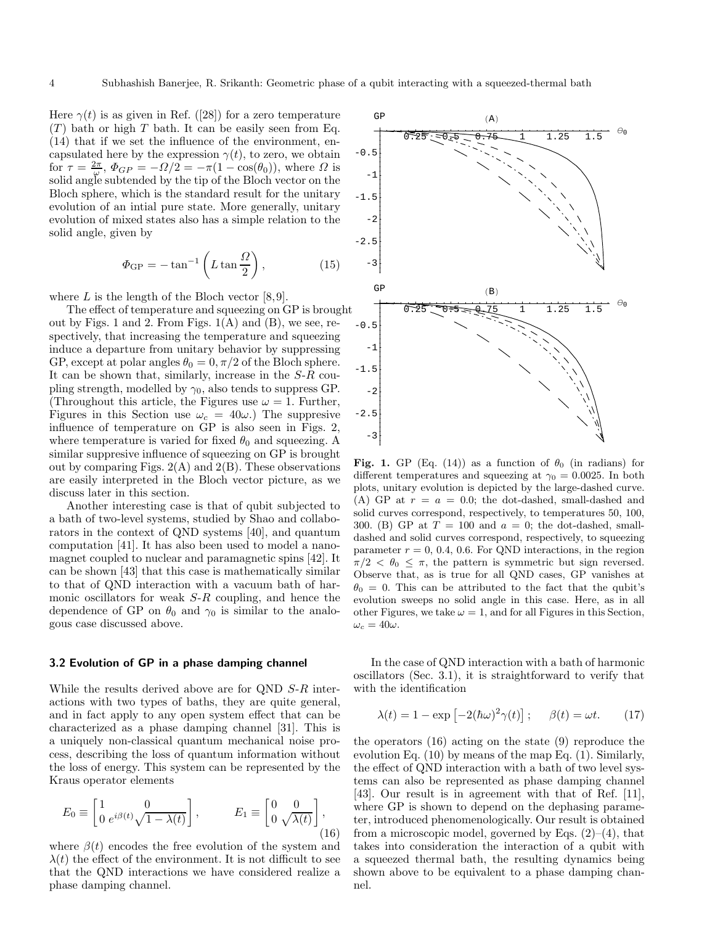Here  $\gamma(t)$  is as given in Ref. ([28]) for a zero temperature  $(T)$  bath or high T bath. It can be easily seen from Eq. (14) that if we set the influence of the environment, encapsulated here by the expression  $\gamma(t)$ , to zero, we obtain for  $\tau = \frac{2\pi}{\omega}$ ,  $\Phi_{GP} = -\frac{\Omega}{2} = -\pi (1 - \cos(\theta_0))$ , where  $\Omega$  is solid angle subtended by the tip of the Bloch vector on the Bloch sphere, which is the standard result for the unitary evolution of an intial pure state. More generally, unitary evolution of mixed states also has a simple relation to the solid angle, given by

$$
\Phi_{\rm GP} = -\tan^{-1}\left(L\tan\frac{\Omega}{2}\right),\tag{15}
$$

where  $L$  is the length of the Bloch vector [8,9].

The effect of temperature and squeezing on GP is brought out by Figs. 1 and 2. From Figs.  $1(A)$  and  $(B)$ , we see, respectively, that increasing the temperature and squeezing induce a departure from unitary behavior by suppressing GP, except at polar angles  $\theta_0 = 0, \pi/2$  of the Bloch sphere. It can be shown that, similarly, increase in the S-R coupling strength, modelled by  $\gamma_0$ , also tends to suppress GP. (Throughout this article, the Figures use  $\omega = 1$ . Further, Figures in this Section use  $\omega_c = 40\omega$ .) The suppresive influence of temperature on GP is also seen in Figs. 2, where temperature is varied for fixed  $\theta_0$  and squeezing. A similar suppresive influence of squeezing on GP is brought out by comparing Figs.  $2(A)$  and  $2(B)$ . These observations are easily interpreted in the Bloch vector picture, as we discuss later in this section.

Another interesting case is that of qubit subjected to a bath of two-level systems, studied by Shao and collaborators in the context of QND systems [40], and quantum computation [41]. It has also been used to model a nanomagnet coupled to nuclear and paramagnetic spins [42]. It can be shown [43] that this case is mathematically similar to that of QND interaction with a vacuum bath of harmonic oscillators for weak  $S-R$  coupling, and hence the dependence of GP on  $\theta_0$  and  $\gamma_0$  is similar to the analogous case discussed above.

### 3.2 Evolution of GP in a phase damping channel

While the results derived above are for QND S-R interactions with two types of baths, they are quite general, and in fact apply to any open system effect that can be characterized as a phase damping channel [31]. This is a uniquely non-classical quantum mechanical noise process, describing the loss of quantum information without the loss of energy. This system can be represented by the Kraus operator elements

$$
E_0 \equiv \begin{bmatrix} 1 & 0 \\ 0 & e^{i\beta(t)} \sqrt{1 - \lambda(t)} \end{bmatrix}, \qquad E_1 \equiv \begin{bmatrix} 0 & 0 \\ 0 & \sqrt{\lambda(t)} \end{bmatrix},
$$
\n(16)

where  $\beta(t)$  encodes the free evolution of the system and  $\lambda(t)$  the effect of the environment. It is not difficult to see that the QND interactions we have considered realize a phase damping channel.



Fig. 1. GP (Eq. (14)) as a function of  $\theta_0$  (in radians) for different temperatures and squeezing at  $\gamma_0 = 0.0025$ . In both plots, unitary evolution is depicted by the large-dashed curve. (A) GP at  $r = a = 0.0$ ; the dot-dashed, small-dashed and solid curves correspond, respectively, to temperatures 50, 100, 300. (B) GP at  $T = 100$  and  $a = 0$ ; the dot-dashed, smalldashed and solid curves correspond, respectively, to squeezing parameter  $r = 0, 0.4, 0.6$ . For QND interactions, in the region  $\pi/2 < \theta_0 \leq \pi$ , the pattern is symmetric but sign reversed. Observe that, as is true for all QND cases, GP vanishes at  $\theta_0 = 0$ . This can be attributed to the fact that the qubit's evolution sweeps no solid angle in this case. Here, as in all other Figures, we take  $\omega = 1$ , and for all Figures in this Section,  $\omega_c = 40\omega$ .

In the case of QND interaction with a bath of harmonic oscillators (Sec. 3.1), it is straightforward to verify that with the identification

$$
\lambda(t) = 1 - \exp\left[-2(\hbar\omega)^2 \gamma(t)\right]; \quad \beta(t) = \omega t. \quad (17)
$$

the operators (16) acting on the state (9) reproduce the evolution Eq. (10) by means of the map Eq. (1). Similarly, the effect of QND interaction with a bath of two level systems can also be represented as phase damping channel [43]. Our result is in agreement with that of Ref. [11], where GP is shown to depend on the dephasing parameter, introduced phenomenologically. Our result is obtained from a microscopic model, governed by Eqs.  $(2)$ – $(4)$ , that takes into consideration the interaction of a qubit with a squeezed thermal bath, the resulting dynamics being shown above to be equivalent to a phase damping channel.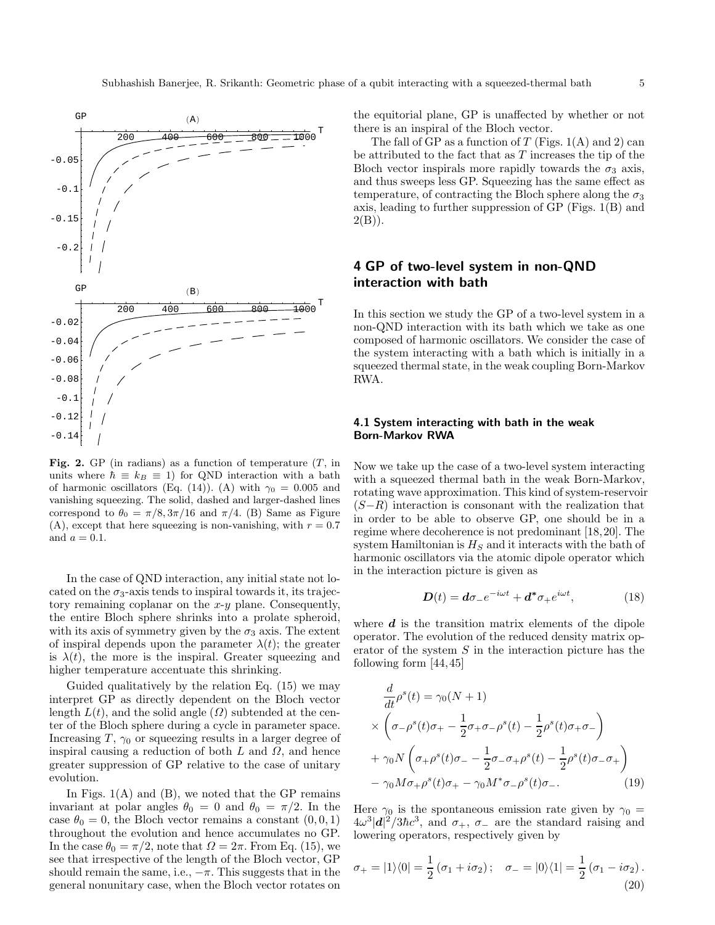

Fig. 2. GP (in radians) as a function of temperature  $(T, \text{in}$ units where  $\hbar \equiv k_B \equiv 1$ ) for QND interaction with a bath of harmonic oscillators (Eq. (14)). (A) with  $\gamma_0 = 0.005$  and vanishing squeezing. The solid, dashed and larger-dashed lines correspond to  $\theta_0 = \pi/8, 3\pi/16$  and  $\pi/4$ . (B) Same as Figure (A), except that here squeezing is non-vanishing, with  $r = 0.7$ and  $a = 0.1$ .

In the case of QND interaction, any initial state not located on the  $\sigma_3$ -axis tends to inspiral towards it, its trajectory remaining coplanar on the  $x-y$  plane. Consequently, the entire Bloch sphere shrinks into a prolate spheroid, with its axis of symmetry given by the  $\sigma_3$  axis. The extent of inspiral depends upon the parameter  $\lambda(t)$ ; the greater is  $\lambda(t)$ , the more is the inspiral. Greater squeezing and higher temperature accentuate this shrinking.

Guided qualitatively by the relation Eq. (15) we may interpret GP as directly dependent on the Bloch vector length  $L(t)$ , and the solid angle  $(\Omega)$  subtended at the center of the Bloch sphere during a cycle in parameter space. Increasing T,  $\gamma_0$  or squeezing results in a larger degree of inspiral causing a reduction of both  $L$  and  $\Omega$ , and hence greater suppression of GP relative to the case of unitary evolution.

In Figs.  $1(A)$  and  $(B)$ , we noted that the GP remains invariant at polar angles  $\theta_0 = 0$  and  $\theta_0 = \pi/2$ . In the case  $\theta_0 = 0$ , the Bloch vector remains a constant  $(0, 0, 1)$ throughout the evolution and hence accumulates no GP. In the case  $\theta_0 = \pi/2$ , note that  $\Omega = 2\pi$ . From Eq. (15), we see that irrespective of the length of the Bloch vector, GP should remain the same, i.e.,  $-\pi$ . This suggests that in the general nonunitary case, when the Bloch vector rotates on the equitorial plane, GP is unaffected by whether or not there is an inspiral of the Bloch vector.

The fall of GP as a function of T (Figs.  $1(A)$  and 2) can be attributed to the fact that as  $T$  increases the tip of the Bloch vector inspirals more rapidly towards the  $\sigma_3$  axis, and thus sweeps less GP. Squeezing has the same effect as temperature, of contracting the Bloch sphere along the  $\sigma_3$ axis, leading to further suppression of GP (Figs. 1(B) and  $2(B)$ ).

# 4 GP of two-level system in non-QND interaction with bath

In this section we study the GP of a two-level system in a non-QND interaction with its bath which we take as one composed of harmonic oscillators. We consider the case of the system interacting with a bath which is initially in a squeezed thermal state, in the weak coupling Born-Markov RWA.

### 4.1 System interacting with bath in the weak Born-Markov RWA

Now we take up the case of a two-level system interacting with a squeezed thermal bath in the weak Born-Markov, rotating wave approximation. This kind of system-reservoir  $(S-R)$  interaction is consonant with the realization that in order to be able to observe GP, one should be in a regime where decoherence is not predominant [18,20]. The system Hamiltonian is  $H<sub>S</sub>$  and it interacts with the bath of harmonic oscillators via the atomic dipole operator which in the interaction picture is given as

$$
\mathbf{D}(t) = d\sigma_{-}e^{-i\omega t} + d^*\sigma_{+}e^{i\omega t},\tag{18}
$$

where  $d$  is the transition matrix elements of the dipole operator. The evolution of the reduced density matrix operator of the system  $S$  in the interaction picture has the following form [44,45]

$$
\frac{d}{dt}\rho^{s}(t) = \gamma_{0}(N+1)
$$
\n
$$
\times \left(\sigma_{-\rho^{s}}(t)\sigma_{+} - \frac{1}{2}\sigma_{+}\sigma_{-\rho^{s}}(t) - \frac{1}{2}\rho^{s}(t)\sigma_{+}\sigma_{-}\right)
$$
\n
$$
+ \gamma_{0}N\left(\sigma_{+}\rho^{s}(t)\sigma_{-} - \frac{1}{2}\sigma_{-}\sigma_{+}\rho^{s}(t) - \frac{1}{2}\rho^{s}(t)\sigma_{-}\sigma_{+}\right)
$$
\n
$$
- \gamma_{0}M\sigma_{+}\rho^{s}(t)\sigma_{+} - \gamma_{0}M^{*}\sigma_{-}\rho^{s}(t)\sigma_{-}.\tag{19}
$$

Here  $\gamma_0$  is the spontaneous emission rate given by  $\gamma_0 =$  $4\omega^3|\mathbf{d}|^2/3\hbar c^3$ , and  $\sigma_+$ ,  $\sigma_-$  are the standard raising and lowering operators, respectively given by

$$
\sigma_+ = |1\rangle\langle 0| = \frac{1}{2} (\sigma_1 + i\sigma_2); \quad \sigma_- = |0\rangle\langle 1| = \frac{1}{2} (\sigma_1 - i\sigma_2).
$$
\n(20)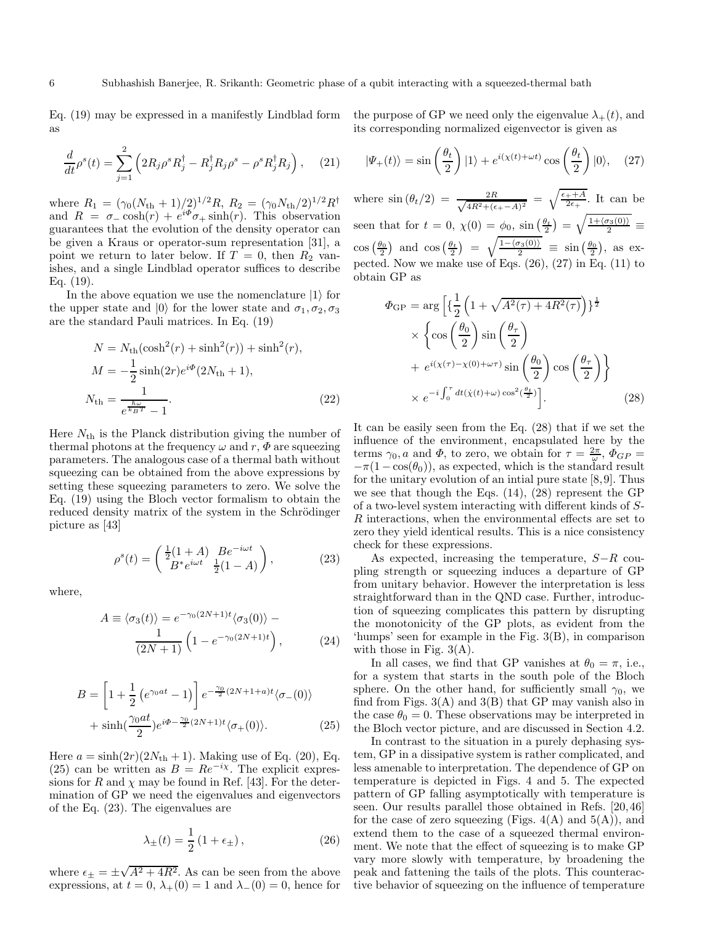Eq. (19) may be expressed in a manifestly Lindblad form as

$$
\frac{d}{dt}\rho^s(t) = \sum_{j=1}^2 \left( 2R_j \rho^s R_j^\dagger - R_j^\dagger R_j \rho^s - \rho^s R_j^\dagger R_j \right), \quad (21)
$$

where  $R_1 = (\gamma_0 (N_{\text{th}} + 1)/2)^{1/2} R$ ,  $R_2 = (\gamma_0 N_{\text{th}}/2)^{1/2} R^{\dagger}$ and  $R = \sigma_{-} \cosh(r) + e^{i\Phi} \sigma_{+} \sinh(r)$ . This observation guarantees that the evolution of the density operator can be given a Kraus or operator-sum representation [31], a point we return to later below. If  $T = 0$ , then  $R_2$  vanishes, and a single Lindblad operator suffices to describe Eq. (19).

In the above equation we use the nomenclature  $|1\rangle$  for the upper state and  $|0\rangle$  for the lower state and  $\sigma_1, \sigma_2, \sigma_3$ are the standard Pauli matrices. In Eq. (19)

$$
N = N_{\text{th}}(\cosh^2(r) + \sinh^2(r)) + \sinh^2(r),
$$
  
\n
$$
M = -\frac{1}{2}\sinh(2r)e^{i\Phi}(2N_{\text{th}} + 1),
$$
  
\n
$$
N_{\text{th}} = \frac{1}{e^{\frac{\hbar\omega}{k_BT}} - 1}.
$$
\n(22)

Here  $N_{\text{th}}$  is the Planck distribution giving the number of thermal photons at the frequency  $\omega$  and r,  $\Phi$  are squeezing parameters. The analogous case of a thermal bath without squeezing can be obtained from the above expressions by setting these squeezing parameters to zero. We solve the Eq. (19) using the Bloch vector formalism to obtain the reduced density matrix of the system in the Schrödinger picture as [43]

$$
\rho^{s}(t) = \begin{pmatrix} \frac{1}{2}(1+A) & Be^{-i\omega t} \\ B^*e^{i\omega t} & \frac{1}{2}(1-A) \end{pmatrix},
$$
\n(23)

where,

$$
A \equiv \langle \sigma_3(t) \rangle = e^{-\gamma_0 (2N+1)t} \langle \sigma_3(0) \rangle - \frac{1}{(2N+1)} \left( 1 - e^{-\gamma_0 (2N+1)t} \right), \tag{24}
$$

$$
B = \left[1 + \frac{1}{2} \left(e^{\gamma_0 at} - 1\right)\right] e^{-\frac{\gamma_0}{2} (2N + 1 + a)t} \langle \sigma_-(0) \rangle + \sinh\left(\frac{\gamma_0 at}{2}\right) e^{i\Phi - \frac{\gamma_0}{2} (2N + 1)t} \langle \sigma_+(0) \rangle.
$$
 (25)

Here  $a = \sinh(2r)(2N_{\rm th} + 1)$ . Making use of Eq. (20), Eq. (25) can be written as  $B = Re^{-i\chi}$ . The explicit expressions for R and  $\chi$  may be found in Ref. [43]. For the determination of GP we need the eigenvalues and eigenvectors of the Eq. (23). The eigenvalues are

$$
\lambda_{\pm}(t) = \frac{1}{2} \left( 1 + \epsilon_{\pm} \right),\tag{26}
$$

where  $\epsilon_{\pm} = \pm \sqrt{A^2 + 4R^2}$ . As can be seen from the above expressions, at  $t = 0$ ,  $\lambda_{+}(0) = 1$  and  $\lambda_{-}(0) = 0$ , hence for the purpose of GP we need only the eigenvalue  $\lambda_{+}(t)$ , and its corresponding normalized eigenvector is given as

$$
|\Psi_{+}(t)\rangle = \sin\left(\frac{\theta_{t}}{2}\right)|1\rangle + e^{i(\chi(t)+\omega t)}\cos\left(\frac{\theta_{t}}{2}\right)|0\rangle, \quad (27)
$$

where  $\sin (\theta_t/2) = \frac{2R}{\sqrt{4R^2 + (e^t/2)}}$  $\frac{2R}{4R^2+(\epsilon_+-A)^2} = \sqrt{\frac{\epsilon_++A}{2\epsilon_+}}$ . It can be seen that for  $t = 0, \ \chi(0) = \phi_0, \ \sin\left(\frac{\theta_t}{2}\right) = \sqrt{\frac{1 + \langle \sigma_3(0) \rangle}{2}}$  $\frac{3}{2}$   $\equiv$  $\cos\left(\frac{\theta_0}{2}\right)$  and  $\cos\left(\frac{\theta_t}{2}\right) = \sqrt{\frac{1-\langle\sigma_3(0)\rangle}{2}} \equiv \sin\left(\frac{\theta_0}{2}\right)$ , as expected. Now we make use of Eqs. (26), (27) in Eq. (11) to obtain GP as

$$
\Phi_{\rm GP} = \arg \left[ \left\{ \frac{1}{2} \left( 1 + \sqrt{A^2(\tau) + 4R^2(\tau)} \right) \right\}^{\frac{1}{2}} \right]
$$

$$
\times \left\{ \cos \left( \frac{\theta_0}{2} \right) \sin \left( \frac{\theta_\tau}{2} \right) + e^{i(\chi(\tau) - \chi(0) + \omega \tau)} \sin \left( \frac{\theta_0}{2} \right) \cos \left( \frac{\theta_\tau}{2} \right) \right\}
$$

$$
\times e^{-i \int_0^\tau dt (\dot{\chi}(t) + \omega) \cos^2(\frac{\theta_t}{2})} \Big].
$$
(28)

It can be easily seen from the Eq. (28) that if we set the influence of the environment, encapsulated here by the terms  $\gamma_0$ , a and  $\Phi$ , to zero, we obtain for  $\tau = \frac{2\pi}{\omega}$ ,  $\Phi_{GP} =$  $-\pi(1-\cos(\theta_0))$ , as expected, which is the standard result for the unitary evolution of an inital pure state  $[8,9]$ . Thus we see that though the Eqs. (14), (28) represent the GP of a two-level system interacting with different kinds of S-R interactions, when the environmental effects are set to zero they yield identical results. This is a nice consistency check for these expressions.

As expected, increasing the temperature, S−R coupling strength or squeezing induces a departure of GP from unitary behavior. However the interpretation is less straightforward than in the QND case. Further, introduction of squeezing complicates this pattern by disrupting the monotonicity of the GP plots, as evident from the 'humps' seen for example in the Fig. 3(B), in comparison with those in Fig.  $3(A)$ .

In all cases, we find that GP vanishes at  $\theta_0 = \pi$ , i.e., for a system that starts in the south pole of the Bloch sphere. On the other hand, for sufficiently small  $\gamma_0$ , we find from Figs.  $3(A)$  and  $3(B)$  that GP may vanish also in the case  $\theta_0 = 0$ . These observations may be interpreted in the Bloch vector picture, and are discussed in Section 4.2.

In contrast to the situation in a purely dephasing system, GP in a dissipative system is rather complicated, and less amenable to interpretation. The dependence of GP on temperature is depicted in Figs. 4 and 5. The expected pattern of GP falling asymptotically with temperature is seen. Our results parallel those obtained in Refs. [20,46] for the case of zero squeezing (Figs.  $4(A)$  and  $5(A)$ ), and extend them to the case of a squeezed thermal environment. We note that the effect of squeezing is to make GP vary more slowly with temperature, by broadening the peak and fattening the tails of the plots. This counteractive behavior of squeezing on the influence of temperature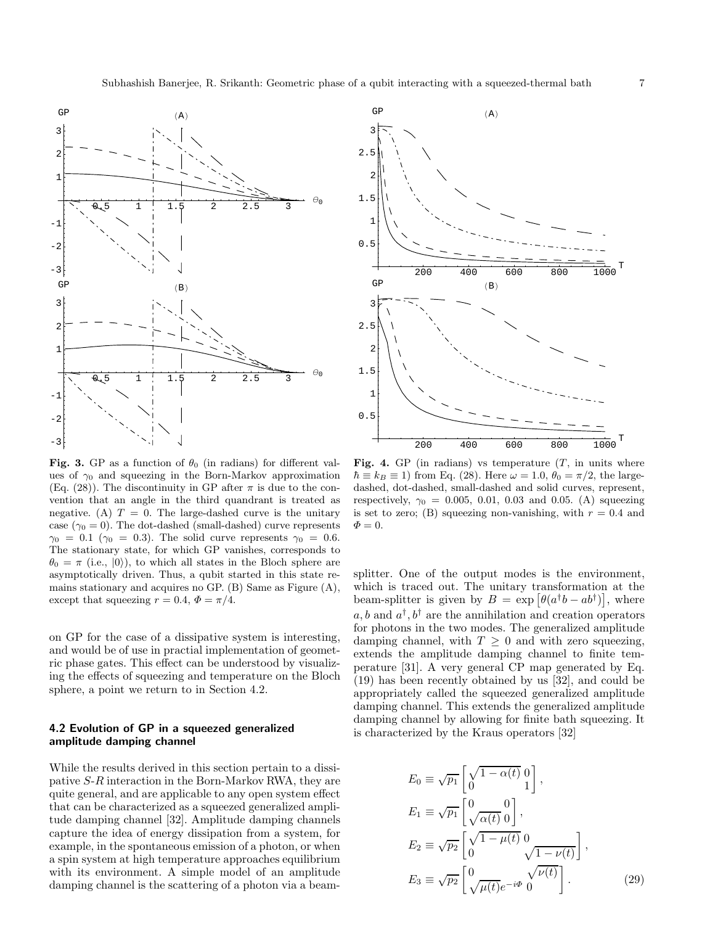

Fig. 3. GP as a function of  $\theta_0$  (in radians) for different values of  $\gamma_0$  and squeezing in the Born-Markov approximation (Eq. (28)). The discontinuity in GP after  $\pi$  is due to the convention that an angle in the third quandrant is treated as negative. (A)  $T = 0$ . The large-dashed curve is the unitary case  $(\gamma_0 = 0)$ . The dot-dashed (small-dashed) curve represents  $\gamma_0 = 0.1 \ (\gamma_0 = 0.3)$ . The solid curve represents  $\gamma_0 = 0.6$ . The stationary state, for which GP vanishes, corresponds to  $\theta_0 = \pi$  (i.e.,  $|0\rangle$ ), to which all states in the Bloch sphere are asymptotically driven. Thus, a qubit started in this state remains stationary and acquires no GP. (B) Same as Figure (A), except that squeezing  $r = 0.4$ ,  $\Phi = \pi/4$ .

on GP for the case of a dissipative system is interesting, and would be of use in practial implementation of geometric phase gates. This effect can be understood by visualizing the effects of squeezing and temperature on the Bloch sphere, a point we return to in Section 4.2.

### 4.2 Evolution of GP in a squeezed generalized amplitude damping channel

While the results derived in this section pertain to a dissipative S-R interaction in the Born-Markov RWA, they are quite general, and are applicable to any open system effect that can be characterized as a squeezed generalized amplitude damping channel [32]. Amplitude damping channels capture the idea of energy dissipation from a system, for example, in the spontaneous emission of a photon, or when a spin system at high temperature approaches equilibrium with its environment. A simple model of an amplitude damping channel is the scattering of a photon via a beam-



Fig. 4. GP (in radians) vs temperature  $(T, \text{ in units where})$  $\hbar \equiv k_B \equiv 1$ ) from Eq. (28). Here  $\omega = 1.0$ ,  $\theta_0 = \pi/2$ , the largedashed, dot-dashed, small-dashed and solid curves, represent, respectively,  $\gamma_0 = 0.005, 0.01, 0.03$  and 0.05. (A) squeezing is set to zero; (B) squeezing non-vanishing, with  $r = 0.4$  and  $\Phi = 0.$ 

splitter. One of the output modes is the environment, which is traced out. The unitary transformation at the beam-splitter is given by  $B = \exp[\theta(a^{\dagger}b - ab^{\dagger})]$ , where  $a, b$  and  $a^{\dagger}, b^{\dagger}$  are the annihilation and creation operators for photons in the two modes. The generalized amplitude damping channel, with  $T \geq 0$  and with zero squeezing, extends the amplitude damping channel to finite temperature [31]. A very general CP map generated by Eq. (19) has been recently obtained by us [32], and could be appropriately called the squeezed generalized amplitude damping channel. This extends the generalized amplitude damping channel by allowing for finite bath squeezing. It is characterized by the Kraus operators [32]

$$
E_0 \equiv \sqrt{p_1} \begin{bmatrix} \sqrt{1 - \alpha(t)} & 0 \\ 0 & 1 \end{bmatrix},
$$
  
\n
$$
E_1 \equiv \sqrt{p_1} \begin{bmatrix} 0 & 0 \\ \sqrt{\alpha(t)} & 0 \end{bmatrix},
$$
  
\n
$$
E_2 \equiv \sqrt{p_2} \begin{bmatrix} \sqrt{1 - \mu(t)} & 0 \\ 0 & \sqrt{1 - \nu(t)} \end{bmatrix},
$$
  
\n
$$
E_3 \equiv \sqrt{p_2} \begin{bmatrix} 0 & \sqrt{\nu(t)} \\ \sqrt{\mu(t)}e^{-i\Phi} & 0 \end{bmatrix}.
$$
 (29)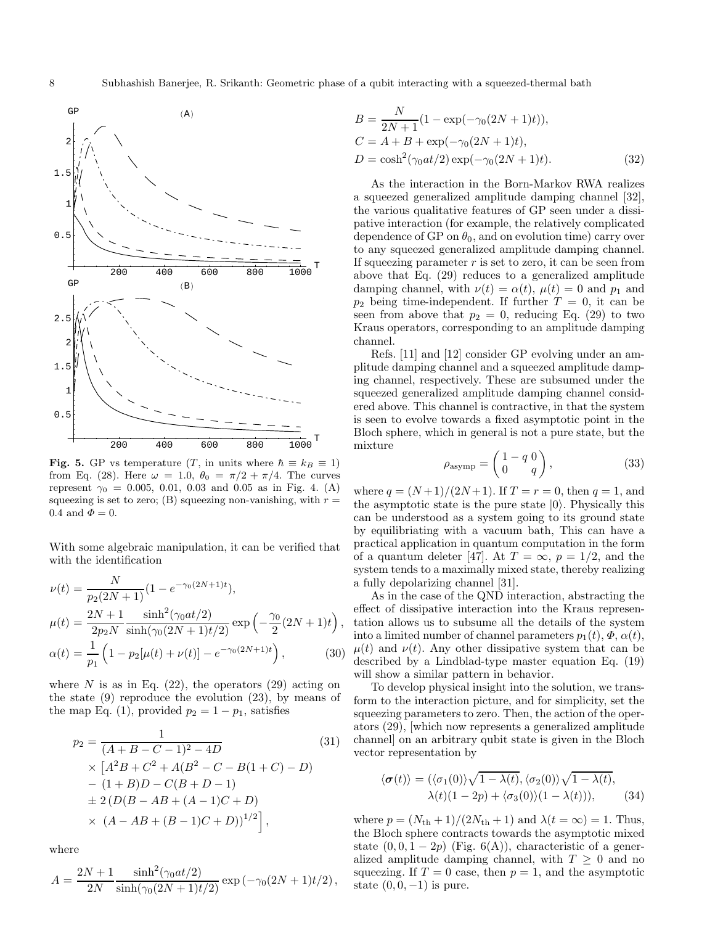

Fig. 5. GP vs temperature  $(T, \text{ in units where } \hbar \equiv k_B \equiv 1)$ from Eq. (28). Here  $\omega = 1.0, \ \theta_0 = \pi/2 + \pi/4$ . The curves represent  $\gamma_0 = 0.005, 0.01, 0.03$  and 0.05 as in Fig. 4. (A) squeezing is set to zero; (B) squeezing non-vanishing, with  $r =$ 0.4 and  $\Phi = 0$ .

With some algebraic manipulation, it can be verified that with the identification

$$
\nu(t) = \frac{N}{p_2(2N+1)} (1 - e^{-\gamma_0(2N+1)t}),
$$
  
\n
$$
\mu(t) = \frac{2N+1}{2p_2N} \frac{\sinh^2(\gamma_0 at/2)}{\sinh(\gamma_0(2N+1)t/2)} \exp\left(-\frac{\gamma_0}{2}(2N+1)t\right),
$$
  
\n
$$
\alpha(t) = \frac{1}{p_1} \left(1 - p_2[\mu(t) + \nu(t)] - e^{-\gamma_0(2N+1)t}\right),
$$
\n(30)

where N is as in Eq.  $(22)$ , the operators  $(29)$  acting on the state (9) reproduce the evolution (23), by means of the map Eq. (1), provided  $p_2 = 1 - p_1$ , satisfies

$$
p_2 = \frac{1}{(A+B-C-1)^2 - 4D}
$$
(31)  
\n
$$
\times [A^2B + C^2 + A(B^2 - C - B(1+C) - D)
$$
  
\n
$$
- (1+B)D - C(B+D-1)
$$
  
\n
$$
\pm 2(D(B-AB+(A-1)C+D))
$$
  
\n
$$
\times (A-AB+(B-1)C+D))^{1/2},
$$
(31)

where

$$
A = \frac{2N+1}{2N} \frac{\sinh^2(\gamma_0 a t/2)}{\sinh(\gamma_0 (2N+1)t/2)} \exp(-\gamma_0 (2N+1)t/2),
$$

$$
B = \frac{N}{2N+1} (1 - \exp(-\gamma_0(2N+1)t)),
$$
  
\n
$$
C = A + B + \exp(-\gamma_0(2N+1)t),
$$
  
\n
$$
D = \cosh^2(\gamma_0 at/2) \exp(-\gamma_0(2N+1)t).
$$
\n(32)

As the interaction in the Born-Markov RWA realizes a squeezed generalized amplitude damping channel [32], the various qualitative features of GP seen under a dissipative interaction (for example, the relatively complicated dependence of GP on  $\theta_0$ , and on evolution time) carry over to any squeezed generalized amplitude damping channel. If squeezing parameter  $r$  is set to zero, it can be seen from above that Eq. (29) reduces to a generalized amplitude damping channel, with  $\nu(t) = \alpha(t)$ ,  $\mu(t) = 0$  and  $p_1$  and  $p_2$  being time-independent. If further  $T = 0$ , it can be seen from above that  $p_2 = 0$ , reducing Eq. (29) to two Kraus operators, corresponding to an amplitude damping channel.

Refs. [11] and [12] consider GP evolving under an amplitude damping channel and a squeezed amplitude damping channel, respectively. These are subsumed under the squeezed generalized amplitude damping channel considered above. This channel is contractive, in that the system is seen to evolve towards a fixed asymptotic point in the Bloch sphere, which in general is not a pure state, but the mixture

$$
\rho_{\text{asymp}} = \begin{pmatrix} 1 - q & 0 \\ 0 & q \end{pmatrix},\tag{33}
$$

where  $q = (N+1)/(2N+1)$ . If  $T = r = 0$ , then  $q = 1$ , and the asymptotic state is the pure state  $|0\rangle$ . Physically this can be understood as a system going to its ground state by equilibriating with a vacuum bath, This can have a practical application in quantum computation in the form of a quantum deleter [47]. At  $T = \infty$ ,  $p = 1/2$ , and the system tends to a maximally mixed state, thereby realizing a fully depolarizing channel [31].

As in the case of the QND interaction, abstracting the effect of dissipative interaction into the Kraus representation allows us to subsume all the details of the system into a limited number of channel parameters  $p_1(t)$ ,  $\Phi$ ,  $\alpha(t)$ ,  $\mu(t)$  and  $\nu(t)$ . Any other dissipative system that can be described by a Lindblad-type master equation Eq. (19) will show a similar pattern in behavior.

To develop physical insight into the solution, we transform to the interaction picture, and for simplicity, set the squeezing parameters to zero. Then, the action of the operators (29), [which now represents a generalized amplitude channel] on an arbitrary qubit state is given in the Bloch vector representation by

$$
\langle \boldsymbol{\sigma}(t) \rangle = (\langle \sigma_1(0) \rangle \sqrt{1 - \lambda(t)}, \langle \sigma_2(0) \rangle \sqrt{1 - \lambda(t)},
$$
  
 
$$
\lambda(t)(1 - 2p) + \langle \sigma_3(0) \rangle (1 - \lambda(t))), \qquad (34)
$$

where  $p = (N_{\text{th}} + 1)/(2N_{\text{th}} + 1)$  and  $\lambda(t = \infty) = 1$ . Thus, the Bloch sphere contracts towards the asymptotic mixed state  $(0, 0, 1 - 2p)$  (Fig. 6(A)), characteristic of a generalized amplitude damping channel, with  $T \geq 0$  and no squeezing. If  $T = 0$  case, then  $p = 1$ , and the asymptotic state  $(0, 0, -1)$  is pure.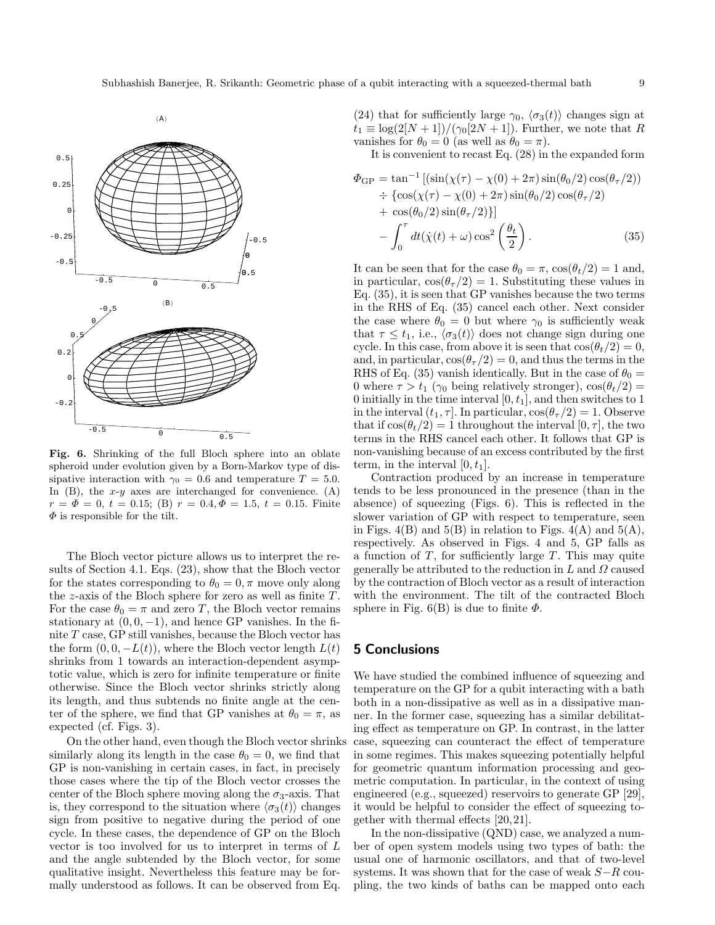



Fig. 6. Shrinking of the full Bloch sphere into an oblate spheroid under evolution given by a Born-Markov type of dissipative interaction with  $\gamma_0 = 0.6$  and temperature  $T = 5.0$ . In  $(B)$ , the x-y axes are interchanged for convenience.  $(A)$  $r = \Phi = 0, t = 0.15;$  (B)  $r = 0.4, \Phi = 1.5, t = 0.15$ . Finite  $\Phi$  is responsible for the tilt.

The Bloch vector picture allows us to interpret the results of Section 4.1. Eqs. (23), show that the Bloch vector for the states corresponding to  $\theta_0 = 0, \pi$  move only along the  $z$ -axis of the Bloch sphere for zero as well as finite  $T$ . For the case  $\theta_0 = \pi$  and zero T, the Bloch vector remains stationary at  $(0, 0, -1)$ , and hence GP vanishes. In the finite T case, GP still vanishes, because the Bloch vector has the form  $(0, 0, -L(t))$ , where the Bloch vector length  $L(t)$ shrinks from 1 towards an interaction-dependent asymptotic value, which is zero for infinite temperature or finite otherwise. Since the Bloch vector shrinks strictly along its length, and thus subtends no finite angle at the center of the sphere, we find that GP vanishes at  $\theta_0 = \pi$ , as expected (cf. Figs. 3).

On the other hand, even though the Bloch vector shrinks similarly along its length in the case  $\theta_0 = 0$ , we find that GP is non-vanishing in certain cases, in fact, in precisely those cases where the tip of the Bloch vector crosses the center of the Bloch sphere moving along the  $\sigma_3$ -axis. That is, they correspond to the situation where  $\langle \sigma_3(t) \rangle$  changes sign from positive to negative during the period of one cycle. In these cases, the dependence of GP on the Bloch vector is too involved for us to interpret in terms of L and the angle subtended by the Bloch vector, for some qualitative insight. Nevertheless this feature may be formally understood as follows. It can be observed from Eq.

(24) that for sufficiently large  $\gamma_0$ ,  $\langle \sigma_3(t) \rangle$  changes sign at  $t_1 \equiv \log(2[N+1])/(\gamma_0[2N+1])$ . Further, we note that R vanishes for  $\theta_0 = 0$  (as well as  $\theta_0 = \pi$ ).

It is convenient to recast Eq. (28) in the expanded form

$$
\Phi_{\rm GP} = \tan^{-1} \left[ (\sin(\chi(\tau) - \chi(0) + 2\pi) \sin(\theta_0/2) \cos(\theta_\tau/2)) \right. \n\div \left\{ \cos(\chi(\tau) - \chi(0) + 2\pi) \sin(\theta_0/2) \cos(\theta_\tau/2) \right. \n+ \cos(\theta_0/2) \sin(\theta_\tau/2) \right\} \n- \int_0^\tau dt (\dot{\chi}(t) + \omega) \cos^2 \left( \frac{\theta_t}{2} \right). \tag{35}
$$

It can be seen that for the case  $\theta_0 = \pi$ ,  $\cos(\theta_t/2) = 1$  and, in particular,  $cos(\theta_{\tau}/2) = 1$ . Substituting these values in Eq. (35), it is seen that GP vanishes because the two terms in the RHS of Eq. (35) cancel each other. Next consider the case where  $\theta_0 = 0$  but where  $\gamma_0$  is sufficiently weak that  $\tau \leq t_1$ , i.e.,  $\langle \sigma_3(t) \rangle$  does not change sign during one cycle. In this case, from above it is seen that  $\cos(\theta_t/2) = 0$ , and, in particular,  $\cos(\theta_\tau/2) = 0$ , and thus the terms in the RHS of Eq. (35) vanish identically. But in the case of  $\theta_0 =$ 0 where  $\tau > t_1$  ( $\gamma_0$  being relatively stronger),  $\cos(\theta_t/2) =$ 0 initially in the time interval  $[0, t<sub>1</sub>]$ , and then switches to 1 in the interval  $(t_1, \tau]$ . In particular,  $\cos(\theta_\tau/2) = 1$ . Observe that if  $\cos(\theta_t/2) = 1$  throughout the interval  $[0, \tau]$ , the two terms in the RHS cancel each other. It follows that GP is non-vanishing because of an excess contributed by the first term, in the interval  $[0, t_1]$ .

Contraction produced by an increase in temperature tends to be less pronounced in the presence (than in the absence) of squeezing (Figs. 6). This is reflected in the slower variation of GP with respect to temperature, seen in Figs. 4(B) and  $5(B)$  in relation to Figs. 4(A) and  $5(A)$ , respectively. As observed in Figs. 4 and 5, GP falls as a function of  $T$ , for sufficiently large  $T$ . This may quite generally be attributed to the reduction in  $L$  and  $\Omega$  caused by the contraction of Bloch vector as a result of interaction with the environment. The tilt of the contracted Bloch sphere in Fig. 6(B) is due to finite  $\Phi$ .

### 5 Conclusions

We have studied the combined influence of squeezing and temperature on the GP for a qubit interacting with a bath both in a non-dissipative as well as in a dissipative manner. In the former case, squeezing has a similar debilitating effect as temperature on GP. In contrast, in the latter case, squeezing can counteract the effect of temperature in some regimes. This makes squeezing potentially helpful for geometric quantum information processing and geometric computation. In particular, in the context of using engineered (e.g., squeezed) reservoirs to generate GP [29], it would be helpful to consider the effect of squeezing together with thermal effects [20,21].

In the non-dissipative (QND) case, we analyzed a number of open system models using two types of bath: the usual one of harmonic oscillators, and that of two-level systems. It was shown that for the case of weak  $S-R$  coupling, the two kinds of baths can be mapped onto each